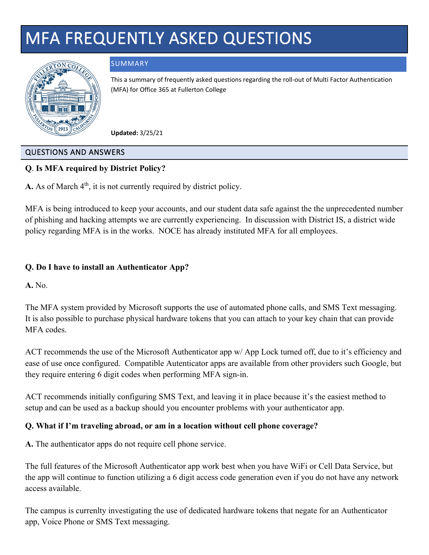# MFA FREQUENTLY ASKED QUESTIONS



## SUMMARY

This a summary of frequently asked questions regarding the roll-out of Multi Factor Authentication (MFA) for Office 365 at Fullerton College

**Updated:** 3/25/21

#### QUESTIONS AND ANSWERS

## **Q**. **Is MFA required by District Policy?**

**A.** As of March  $4<sup>th</sup>$ , it is not currently required by district policy.

MFA is being introduced to keep your accounts, and our student data safe against the the unprecedented number of phishing and hacking attempts we are currently experiencing. In discussion with District IS, a district wide policy regarding MFA is in the works. NOCE has already instituted MFA for all employees.

## **Q. Do I have to install an Authenticator App?**

**A.** No.

The MFA system provided by Microsoft supports the use of automated phone calls, and SMS Text messaging. It is also possible to purchase physical hardware tokens that you can attach to your key chain that can provide MFA codes.

ACT recommends the use of the Microsoft Authenticator app w/ App Lock turned off, due to it's efficiency and ease of use once configured. Compatible Autenticator apps are available from other providers such Google, but they require entering 6 digit codes when performing MFA sign-in.

ACT recommends initially configuring SMS Text, and leaving it in place because it's the easiest method to setup and can be used as a backup should you encounter problems with your authenticator app.

#### **Q. What if I'm traveling abroad, or am in a location without cell phone coverage?**

**A.** The authenticator apps do not require cell phone service.

The full features of the Microsoft Authenticator app work best when you have WiFi or Cell Data Service, but the app will continue to function utilizing a 6 digit access code generation even if you do not have any network access available.

The campus is currenlty investigating the use of dedicated hardware tokens that negate for an Authenticator app, Voice Phone or SMS Text messaging.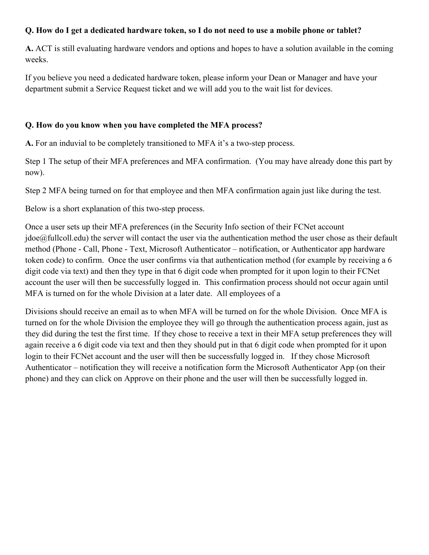## **Q. How do I get a dedicated hardware token, so I do not need to use a mobile phone or tablet?**

**A.** ACT is still evaluating hardware vendors and options and hopes to have a solution available in the coming weeks.

If you believe you need a dedicated hardware token, please inform your Dean or Manager and have your department submit a Service Request ticket and we will add you to the wait list for devices.

#### **Q. How do you know when you have completed the MFA process?**

**A.** For an induvial to be completely transitioned to MFA it's a two-step process.

Step 1 The setup of their MFA preferences and MFA confirmation. (You may have already done this part by now).

Step 2 MFA being turned on for that employee and then MFA confirmation again just like during the test.

Below is a short explanation of this two-step process.

Once a user sets up their MFA preferences (in the Security Info section of their FCNet account jdoe@fullcoll.edu) the server will contact the user via the authentication method the user chose as their default method (Phone - Call, Phone - Text, Microsoft Authenticator – notification, or Authenticator app hardware token code) to confirm. Once the user confirms via that authentication method (for example by receiving a 6 digit code via text) and then they type in that 6 digit code when prompted for it upon login to their FCNet account the user will then be successfully logged in. This confirmation process should not occur again until MFA is turned on for the whole Division at a later date. All employees of a

Divisions should receive an email as to when MFA will be turned on for the whole Division. Once MFA is turned on for the whole Division the employee they will go through the authentication process again, just as they did during the test the first time. If they chose to receive a text in their MFA setup preferences they will again receive a 6 digit code via text and then they should put in that 6 digit code when prompted for it upon login to their FCNet account and the user will then be successfully logged in. If they chose Microsoft Authenticator – notification they will receive a notification form the Microsoft Authenticator App (on their phone) and they can click on Approve on their phone and the user will then be successfully logged in.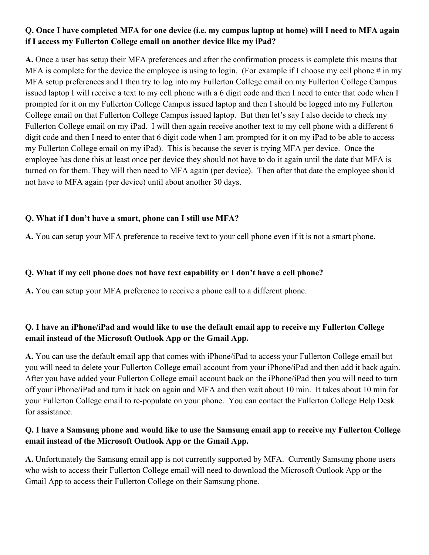# **Q. Once I have completed MFA for one device (i.e. my campus laptop at home) will I need to MFA again if I access my Fullerton College email on another device like my iPad?**

**A.** Once a user has setup their MFA preferences and after the confirmation process is complete this means that MFA is complete for the device the employee is using to login. (For example if I choose my cell phone  $\#$  in my MFA setup preferences and I then try to log into my Fullerton College email on my Fullerton College Campus issued laptop I will receive a text to my cell phone with a 6 digit code and then I need to enter that code when I prompted for it on my Fullerton College Campus issued laptop and then I should be logged into my Fullerton College email on that Fullerton College Campus issued laptop. But then let's say I also decide to check my Fullerton College email on my iPad. I will then again receive another text to my cell phone with a different 6 digit code and then I need to enter that 6 digit code when I am prompted for it on my iPad to be able to access my Fullerton College email on my iPad). This is because the sever is trying MFA per device. Once the employee has done this at least once per device they should not have to do it again until the date that MFA is turned on for them. They will then need to MFA again (per device). Then after that date the employee should not have to MFA again (per device) until about another 30 days.

## **Q. What if I don't have a smart, phone can I still use MFA?**

**A.** You can setup your MFA preference to receive text to your cell phone even if it is not a smart phone.

#### **Q. What if my cell phone does not have text capability or I don't have a cell phone?**

**A.** You can setup your MFA preference to receive a phone call to a different phone.

# **Q. I have an iPhone/iPad and would like to use the default email app to receive my Fullerton College email instead of the Microsoft Outlook App or the Gmail App.**

**A.** You can use the default email app that comes with iPhone/iPad to access your Fullerton College email but you will need to delete your Fullerton College email account from your iPhone/iPad and then add it back again. After you have added your Fullerton College email account back on the iPhone/iPad then you will need to turn off your iPhone/iPad and turn it back on again and MFA and then wait about 10 min. It takes about 10 min for your Fullerton College email to re-populate on your phone. You can contact the Fullerton College Help Desk for assistance.

## **Q. I have a Samsung phone and would like to use the Samsung email app to receive my Fullerton College email instead of the Microsoft Outlook App or the Gmail App.**

**A.** Unfortunately the Samsung email app is not currently supported by MFA. Currently Samsung phone users who wish to access their Fullerton College email will need to download the Microsoft Outlook App or the Gmail App to access their Fullerton College on their Samsung phone.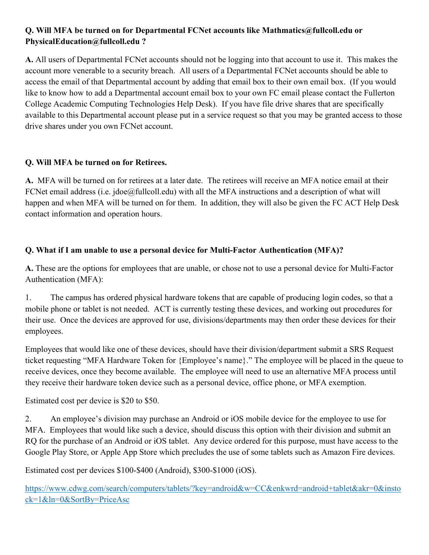# **Q. Will MFA be turned on for Departmental FCNet accounts like Mathmatics@fullcoll.edu or PhysicalEducation@fullcoll.edu ?**

**A.** All users of Departmental FCNet accounts should not be logging into that account to use it. This makes the account more venerable to a security breach. All users of a Departmental FCNet accounts should be able to access the email of that Departmental account by adding that email box to their own email box. (If you would like to know how to add a Departmental account email box to your own FC email please contact the Fullerton College Academic Computing Technologies Help Desk). If you have file drive shares that are specifically available to this Departmental account please put in a service request so that you may be granted access to those drive shares under you own FCNet account.

# **Q. Will MFA be turned on for Retirees.**

**A.** MFA will be turned on for retirees at a later date. The retirees will receive an MFA notice email at their FCNet email address (i.e. jdoe@fullcoll.edu) with all the MFA instructions and a description of what will happen and when MFA will be turned on for them. In addition, they will also be given the FC ACT Help Desk contact information and operation hours.

# **Q. What if I am unable to use a personal device for Multi-Factor Authentication (MFA)?**

**A.** These are the options for employees that are unable, or chose not to use a personal device for Multi-Factor Authentication (MFA):

1. The campus has ordered physical hardware tokens that are capable of producing login codes, so that a mobile phone or tablet is not needed. ACT is currently testing these devices, and working out procedures for their use. Once the devices are approved for use, divisions/departments may then order these devices for their employees.

Employees that would like one of these devices, should have their division/department submit a SRS Request ticket requesting "MFA Hardware Token for {Employee's name}." The employee will be placed in the queue to receive devices, once they become available. The employee will need to use an alternative MFA process until they receive their hardware token device such as a personal device, office phone, or MFA exemption.

Estimated cost per device is \$20 to \$50.

2. An employee's division may purchase an Android or iOS mobile device for the employee to use for MFA. Employees that would like such a device, should discuss this option with their division and submit an RQ for the purchase of an Android or iOS tablet. Any device ordered for this purpose, must have access to the Google Play Store, or Apple App Store which precludes the use of some tablets such as Amazon Fire devices.

Estimated cost per devices \$100-\$400 (Android), \$300-\$1000 (iOS).

[https://www.cdwg.com/search/computers/tablets/?key=android&w=CC&enkwrd=android+tablet&akr=0&insto](https://www.cdwg.com/search/computers/tablets/?key=android&w=CC&enkwrd=android+tablet&akr=0&instock=1&ln=0&SortBy=PriceAsc) [ck=1&ln=0&SortBy=PriceAsc](https://www.cdwg.com/search/computers/tablets/?key=android&w=CC&enkwrd=android+tablet&akr=0&instock=1&ln=0&SortBy=PriceAsc)